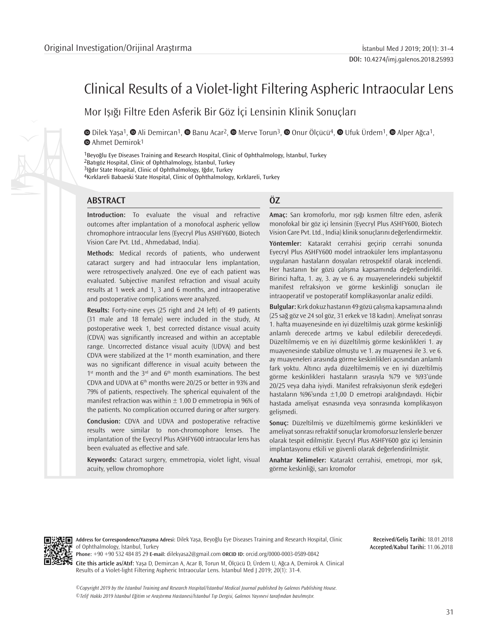# Clinical Results of a Violet-light Filtering Aspheric Intraocular Lens

Mor Işığı Filtre Eden Asferik Bir Göz İçi Lensinin Klinik Sonuçları

**©**Dilek Yaşa<sup>1</sup>, **©** Ali Demircan<sup>1</sup>, © Banu Acar<sup>2</sup>, © Merve Torun<sup>3</sup>, © [O](https://orcid.org/0000-0003-4447-2635)nur Ölçücü<sup>4</sup>, © [U](https://orcid.org/0000-0003-4933-3108)fuk Ürdem<sup>1</sup>, © Alper Ağca<sup>1</sup>, **■**Ahmet Demirok<sup>1</sup>

Beyoğlu Eye Diseases Training and Research Hospital, Clinic of Ophthalmology, İstanbul, Turkey Batıgöz Hospital, Clinic of Ophthalmology, İstanbul, Turkey Iğdır State Hospital, Clinic of Ophthalmology, Iğdır, Turkey Kırklareli Babaeski State Hospital, Clinic of Ophthalmology, Kırklareli, Turkey

# **ABSTRACT ÖZ**

**Introduction:** To evaluate the visual and refractive outcomes after implantation of a monofocal aspheric yellow chromophore intraocular lens (Eyecryl Plus ASHFY600, Biotech Vision Care Pvt. Ltd., Ahmedabad, India).

**Methods:** Medical records of patients, who underwent cataract surgery and had intraocular lens implantation, were retrospectively analyzed. One eye of each patient was evaluated. Subjective manifest refraction and visual acuity results at 1 week and 1, 3 and 6 months, and intraoperative and postoperative complications were analyzed.

**Results:** Forty-nine eyes (25 right and 24 left) of 49 patients (31 male and 18 female) were included in the study, At postoperative week 1, best corrected distance visual acuity (CDVA) was significantly increased and within an acceptable range. Uncorrected distance visual acuity (UDVA) and best CDVA were stabilized at the  $1<sup>st</sup>$  month examination, and there was no significant difference in visual acuity between the  $1<sup>st</sup>$  month and the  $3<sup>rd</sup>$  and  $6<sup>th</sup>$  month examinations. The best CDVA and UDVA at 6th months were 20/25 or better in 93% and 79% of patients, respectively. The spherical equivalent of the manifest refraction was within  $\pm$  1.00 D emmetropia in 96% of the patients. No complication occurred during or after surgery.

**Conclusion:** CDVA and UDVA and postoperative refractive results were similar to non-chromophore lenses. The implantation of the Eyecryl Plus ASHFY600 intraocular lens has been evaluated as effective and safe.

**Keywords:** Cataract surgery, emmetropia, violet light, visual acuity, yellow chromophore

**Amaç:** Sarı kromoforlu, mor ışığı kısmen filtre eden, asferik monofokal bir göz içi lensinin (Eyecryl Plus ASHFY600, Biotech Vision Care Pvt. Ltd., India) klinik sonuçlarını değerlendirmektir.

**Yöntemler:** Katarakt cerrahisi geçirip cerrahi sonunda Eyecryl Plus ASHFY600 model intraoküler lens implantasyonu uygulanan hastaların dosyaları retrospektif olarak incelendi. Her hastanın bir gözü çalışma kapsamında değerlendirildi. Birinci hafta, 1. ay, 3. ay ve 6. ay muayenelerindeki subjektif manifest refraksiyon ve görme keskinliği sonuçları ile intraoperatif ve postoperatif komplikasyonlar analiz edildi.

**Bulgular:** Kırk dokuz hastanın 49 gözü çalışma kapsamına alındı (25 sağ göz ve 24 sol göz, 31 erkek ve 18 kadın). Ameliyat sonrası 1. hafta muayenesinde en iyi düzeltilmiş uzak görme keskinliği anlamlı derecede artmış ve kabul edilebilir derecedeydi. Düzeltilmemiş ve en iyi düzeltilmiş görme keskinlikleri 1. ay muayenesinde stabilize olmuştu ve 1. ay muayenesi ile 3. ve 6. ay muayeneleri arasında görme keskinlikleri açısından anlamlı fark yoktu. Altıncı ayda düzeltilmemiş ve en iyi düzeltilmiş görme keskinlikleri hastaların sırasıyla %79 ve %93'ünde 20/25 veya daha iyiydi. Manifest refraksiyonun sferik eşdeğeri hastaların %96'sında ±1,00 D emetropi aralığındaydı. Hiçbir hastada ameliyat esnasında veya sonrasında komplikasyon gelişmedi.

**Sonuç:** Düzeltilmiş ve düzeltilmemiş görme keskinlikleri ve ameliyat sonrası refraktif sonuçlar kromoforsuz lenslerle benzer olarak tespit edilmiştir. Eyecryl Plus ASHFY600 göz içi lensinin implantasyonu etkili ve güvenli olarak değerlendirilmiştir.

**Anahtar Kelimeler:** Katarakt cerrahisi, emetropi, mor ışık, görme keskinliği, sarı kromofor



**Address for Correspondence/Yazışma Adresi:** Dilek Yaşa, Beyoğlu Eye Diseases Training and Research Hospital, Clinic of Ophthalmology, İstanbul, Turkey

**Phone:** +90 +90 532 484 85 29 **E-mail:** dilekyasa2@gmail.com **ORCID ID:** orcid.org/0000-0003-0589-0842 **Cite this article as/Atıf:** Yaşa D, Demircan A, Acar B, Torun M, Ölçücü D, Ürdem U, Ağca A, Demirok A. Clinical Results of a Violet-light Filtering Aspheric Intraocular Lens. İstanbul Med J 2019; 20(1): 31-4.

*©*Copyright 2019 by the İstanbul Training and Research Hospital/İstanbul Medical Journal published by Galenos Publishing House. *©*Telif Hakkı 2019 İstanbul Eğitim ve Araştırma Hastanesi/İstanbul Tıp Dergisi, Galenos Yayınevi tarafından basılmıştır.

**Received/Geliş Tarihi:** 18.01.2018 **Accepted/Kabul Tarihi:** 11.06.2018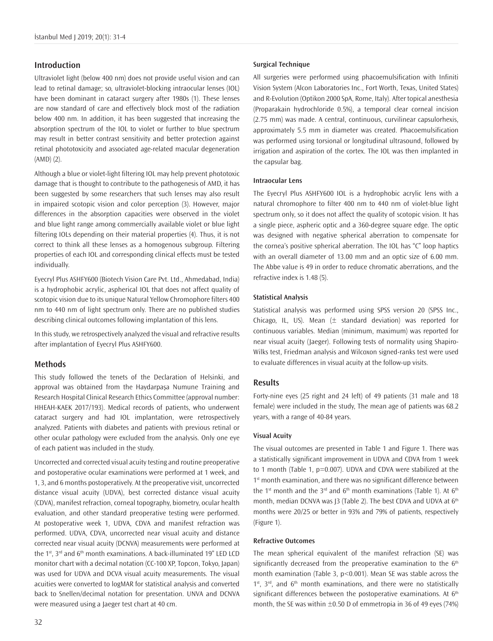# **Introduction**

Ultraviolet light (below 400 nm) does not provide useful vision and can lead to retinal damage; so, ultraviolet-blocking intraocular lenses (IOL) have been dominant in cataract surgery after 1980s (1). These lenses are now standard of care and effectively block most of the radiation below 400 nm. In addition, it has been suggested that increasing the absorption spectrum of the IOL to violet or further to blue spectrum may result in better contrast sensitivity and better protection against retinal phototoxicity and associated age-related macular degeneration (AMD) (2).

Although a blue or violet-light filtering IOL may help prevent phototoxic damage that is thought to contribute to the pathogenesis of AMD, it has been suggested by some researchers that such lenses may also result in impaired scotopic vision and color perception (3). However, major differences in the absorption capacities were observed in the violet and blue light range among commercially available violet or blue light filtering IOLs depending on their material properties (4). Thus, it is not correct to think all these lenses as a homogenous subgroup. Filtering properties of each IOL and corresponding clinical effects must be tested individually.

Eyecryl Plus ASHFY600 (Biotech Vision Care Pvt. Ltd., Ahmedabad, India) is a hydrophobic acrylic, aspherical IOL that does not affect quality of scotopic vision due to its unique Natural Yellow Chromophore filters 400 nm to 440 nm of light spectrum only. There are no published studies describing clinical outcomes following implantation of this lens.

In this study, we retrospectively analyzed the visual and refractive results after implantation of Eyecryl Plus ASHFY600.

# **Methods**

This study followed the tenets of the Declaration of Helsinki, and approval was obtained from the Haydarpaşa Numune Training and Research Hospital Clinical Research Ethics Committee (approval number: HHEAH-KAEK 2017/193). Medical records of patients, who underwent cataract surgery and had IOL implantation, were retrospectively analyzed. Patients with diabetes and patients with previous retinal or other ocular pathology were excluded from the analysis. Only one eye of each patient was included in the study.

Uncorrected and corrected visual acuity testing and routine preoperative and postoperative ocular examinations were performed at 1 week, and 1, 3, and 6 months postoperatively. At the preoperative visit, uncorrected distance visual acuity (UDVA), best corrected distance visual acuity (CDVA), manifest refraction, corneal topography, biometry, ocular health evaluation, and other standard preoperative testing were performed. At postoperative week 1, UDVA, CDVA and manifest refraction was performed. UDVA, CDVA, uncorrected near visual acuity and distance corrected near visual acuity (DCNVA) measurements were performed at the 1st, 3rd and 6<sup>th</sup> month examinations. A back-illuminated 19" LED LCD monitor chart with a decimal notation (CC-100 XP, Topcon, Tokyo, Japan) was used for UDVA and DCVA visual acuity measurements. The visual acuities were converted to logMAR for statistical analysis and converted back to Snellen/decimal notation for presentation. UNVA and DCNVA were measured using a Jaeger test chart at 40 cm.

All surgeries were performed using phacoemulsification with Infiniti Vision System (Alcon Laboratories Inc., Fort Worth, Texas, United States) and R-Evolution (Optikon 2000 SpA, Rome, Italy). After topical anesthesia (Proparakain hydrochloride 0.5%), a temporal clear corneal incision (2.75 mm) was made. A central, continuous, curvilinear capsulorhexis, approximately 5.5 mm in diameter was created. Phacoemulsification was performed using torsional or longitudinal ultrasound, followed by irrigation and aspiration of the cortex. The IOL was then implanted in the capsular bag.

#### **Intraocular Lens**

The Eyecryl Plus ASHFY600 IOL is a hydrophobic acrylic lens with a natural chromophore to filter 400 nm to 440 nm of violet-blue light spectrum only, so it does not affect the quality of scotopic vision. It has a single piece, aspheric optic and a 360-degree square edge. The optic was designed with negative spherical aberration to compensate for the cornea's positive spherical aberration. The IOL has "C" loop haptics with an overall diameter of 13.00 mm and an optic size of 6.00 mm. The Abbe value is 49 in order to reduce chromatic aberrations, and the refractive index is 1.48 (5).

#### **Statistical Analysis**

Statistical analysis was performed using SPSS version 20 (SPSS Inc., Chicago, IL, US). Mean  $(\pm$  standard deviation) was reported for continuous variables. Median (minimum, maximum) was reported for near visual acuity (Jaeger). Following tests of normality using Shapiro-Wilks test, Friedman analysis and Wilcoxon signed-ranks test were used to evaluate differences in visual acuity at the follow-up visits.

# **Results**

Forty-nine eyes (25 right and 24 left) of 49 patients (31 male and 18 female) were included in the study, The mean age of patients was 68.2 years, with a range of 40-84 years.

#### **Visual Acuity**

The visual outcomes are presented in Table 1 and Figure 1. There was a statistically significant improvement in UDVA and CDVA from 1 week to 1 month (Table 1, p=0.007). UDVA and CDVA were stabilized at the 1<sup>st</sup> month examination, and there was no significant difference between the 1<sup>st</sup> month and the 3<sup>rd</sup> and 6<sup>th</sup> month examinations (Table 1). At 6<sup>th</sup> month, median DCNVA was J3 (Table 2). The best CDVA and UDVA at 6<sup>th</sup> months were 20/25 or better in 93% and 79% of patients, respectively (Figure 1).

#### **Refractive Outcomes**

The mean spherical equivalent of the manifest refraction (SE) was significantly decreased from the preoperative examination to the  $6<sup>th</sup>$ month examination (Table 3, p<0.001). Mean SE was stable across the  $1<sup>st</sup>$ ,  $3<sup>rd</sup>$ , and  $6<sup>th</sup>$  month examinations, and there were no statistically significant differences between the postoperative examinations. At 6<sup>th</sup> month, the SE was within  $\pm 0.50$  D of emmetropia in 36 of 49 eyes (74%)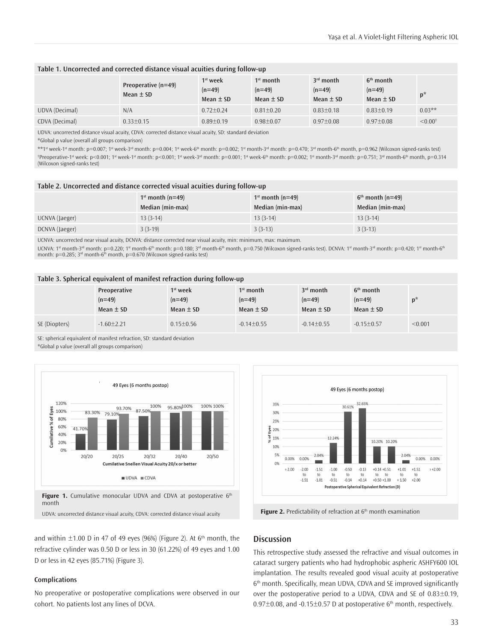| Table 1. Uncorrected and corrected distance visual aculties during follow-up |                                        |                                         |                                          |                                          |                                          |                    |  |
|------------------------------------------------------------------------------|----------------------------------------|-----------------------------------------|------------------------------------------|------------------------------------------|------------------------------------------|--------------------|--|
|                                                                              | Preoperative $(n=49)$<br>Mean $\pm$ SD | $1st$ week<br>$(n=49)$<br>Mean $\pm$ SD | $1st$ month<br>$(n=49)$<br>Mean $\pm$ SD | $3rd$ month<br>$(n=49)$<br>Mean $\pm$ SD | $6th$ month<br>$(n=49)$<br>Mean $\pm$ SD | $p^*$              |  |
| UDVA (Decimal)                                                               | N/A                                    | $0.72+0.24$                             | $0.81 + 0.20$                            | $0.83 + 0.18$                            | $0.83 + 0.19$                            | $0.03**$           |  |
| CDVA (Decimal)                                                               | $0.33 \pm 0.15$                        | $0.89 + 0.19$                           | $0.98 + 0.07$                            | $0.97 \pm 0.08$                          | $0.97 + 0.08$                            | $< 0.00^{\dagger}$ |  |

#### **Table 1. Uncorrected and corrected distance visual acuities during follow-up**

UDVA: uncorrected distance visual acuity, CDVA: corrected distance visual acuity, SD: standard deviation

\*Global p value (overall all groups comparison)

\*\*1st week-1st month: p=0.007; 1st week-3rd month: p=0.004; 1st week-6<sup>th</sup> month: p=0.002; 1st month-3rd month: p=0.470; 3rd month-6th month, p=0.962 (Wilcoxon signed-ranks test) † Preoperative-1st week: p<0.001; 1st week-1st month: p<0.001; 1st week-3rd month: p=0.001; 1st week-6th month: p=0.002; 1st month-3rd month: p=0.751; 3rd month-6th month, p=0.314 (Wilcoxon signed-ranks test)

| Table 2. Uncorrected and distance corrected visual acuities during follow-up |  |  |  |  |
|------------------------------------------------------------------------------|--|--|--|--|
|------------------------------------------------------------------------------|--|--|--|--|

|                | $1st$ month (n=49)<br>Median (min-max) | $1st$ month (n=49)<br>Median (min-max) | $6th$ month (n=49)<br>Median (min-max) |
|----------------|----------------------------------------|----------------------------------------|----------------------------------------|
| UCNVA (Jaeger) | $13(3-14)$                             | $13(3-14)$                             | $13(3-14)$                             |
| DCNVA (Jaeger) | $3(3-19)$                              | $3(3-13)$                              | $3(3-13)$                              |

UCNVA: uncorrected near visual acuity, DCNVA: distance corrected near visual acuity, min: minimum, max: maximum.

UCNVA: 1st month-3rd month: p=0.220; 1st month-6<sup>th</sup> month: p=0.180; 3rd month-6<sup>th</sup> month, p=0.750 (Wilcoxon signed-ranks test). DCNVA: 1st month-3rd month: p=0.420; 1st month-6th month: p=0.285; 3<sup>rd</sup> month-6<sup>th</sup> month, p=0.670 (Wilcoxon signed-ranks test)

#### **Table 3. Spherical equivalent of manifest refraction during follow-up**

|               | Preoperative<br>$(n=49)$<br>Mean $\pm$ SD | $1st$ week<br>$(n=49)$<br>Mean $\pm$ SD | $1st$ month<br>$(n=49)$<br>Mean $\pm$ SD | $3rd$ month<br>$(n=49)$<br>Mean $\pm$ SD | $6th$ month<br>$(n=49)$<br>Mean $\pm$ SD | $n^*$   |
|---------------|-------------------------------------------|-----------------------------------------|------------------------------------------|------------------------------------------|------------------------------------------|---------|
| SE (Diopters) | $-1.60 \pm 2.21$                          | $0.15 \pm 0.56$                         | $-0.14 \pm 0.55$                         | $-0.14 \pm 0.55$                         | $-0.15 \pm 0.57$                         | < 0.001 |

SE: spherical equivalent of manifest refraction, SD: standard deviation

\*Global p value (overall all groups comparison)





and within  $\pm$ 1.00 D in 47 of 49 eyes (96%) (Figure 2). At 6<sup>th</sup> month, the refractive cylinder was 0.50 D or less in 30 (61.22%) of 49 eyes and 1.00 D or less in 42 eyes (85.71%) (Figure 3).

#### **Complications**

No preoperative or postoperative complications were observed in our cohort. No patients lost any lines of DCVA.

## **Discussion**

This retrospective study assessed the refractive and visual outcomes in cataract surgery patients who had hydrophobic aspheric ASHFY600 IOL implantation. The results revealed good visual acuity at postoperative 6th month. Specifically, mean UDVA, CDVA and SE improved significantly over the postoperative period to a UDVA, CDVA and SE of 0.83±0.19, 0.97 $\pm$ 0.08, and -0.15 $\pm$ 0.57 D at postoperative 6<sup>th</sup> month, respectively.